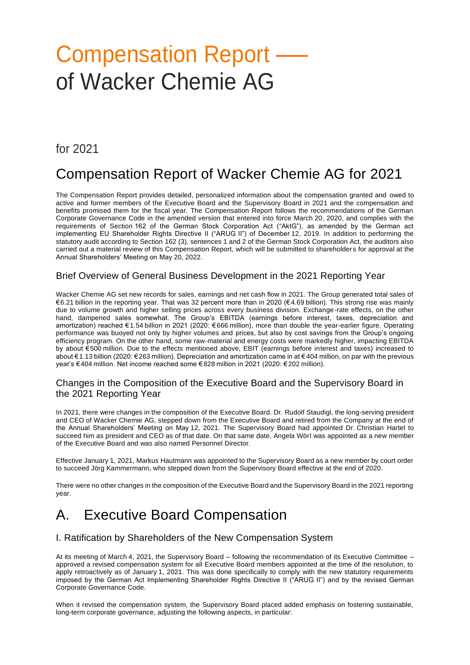# Compensation Report – of Wacker Chemie AG

# for 2021

# Compensation Report of Wacker Chemie AG for 2021

The Compensation Report provides detailed, personalized information about the compensation granted and owed to active and former members of the Executive Board and the Supervisory Board in 2021 and the compensation and benefits promised them for the fiscal year. The Compensation Report follows the recommendations of the German Corporate Governance Code in the amended version that entered into force March 20, 2020, and complies with the requirements of Section 162 of the German Stock Corporation Act ("AktG"), as amended by the German act implementing EU Shareholder Rights Directive II ("ARUG II") of December 12, 2019. In addition to performing the statutory audit according to Section 162 (3), sentences 1 and 2 of the German Stock Corporation Act, the auditors also carried out a material review of this Compensation Report, which will be submitted to shareholders for approval at the Annual Shareholders' Meeting on May 20, 2022.

# Brief Overview of General Business Development in the 2021 Reporting Year

Wacker Chemie AG set new records for sales, earnings and net cash flow in 2021. The Group generated total sales of €6.21 billion in the reporting year. That was 32 percent more than in 2020 (€ 4.69 billion). This strong rise was mainly due to volume growth and higher selling prices across every business division. Exchange-rate effects, on the other hand, dampened sales somewhat. The Group's EBITDA (earnings before interest, taxes, depreciation and amortization) reached €1.54 billion in 2021 (2020: € 666 million), more than double the year-earlier figure. Operating performance was buoyed not only by higher volumes and prices, but also by cost savings from the Group's ongoing efficiency program. On the other hand, some raw-material and energy costs were markedly higher, impacting EBITDA by about €500 million. Due to the effects mentioned above, EBIT (earnings before interest and taxes) increased to about €1.13 billion (2020: €263 million). Depreciation and amortization came in at € 404 million, on par with the previous year's €404 million. Net income reached some € 828 million in 2021 (2020: €202 million).

# Changes in the Composition of the Executive Board and the Supervisory Board in the 2021 Reporting Year

In 2021, there were changes in the composition of the Executive Board. Dr. Rudolf Staudigl, the long-serving president and CEO of Wacker Chemie AG, stepped down from the Executive Board and retired from the Company at the end of the Annual Shareholders' Meeting on May 12, 2021. The Supervisory Board had appointed Dr. Christian Hartel to succeed him as president and CEO as of that date. On that same date, Angela Wörl was appointed as a new member of the Executive Board and was also named Personnel Director.

Effective January 1, 2021, Markus Hautmann was appointed to the Supervisory Board as a new member by court order to succeed Jörg Kammermann, who stepped down from the Supervisory Board effective at the end of 2020.

There were no other changes in the composition of the Executive Board and the Supervisory Board in the 2021 reporting year.

# A. Executive Board Compensation

# I. Ratification by Shareholders of the New Compensation System

At its meeting of March 4, 2021, the Supervisory Board – following the recommendation of its Executive Committee – approved a revised compensation system for all Executive Board members appointed at the time of the resolution, to apply retroactively as of January 1, 2021. This was done specifically to comply with the new statutory requirements imposed by the German Act Implementing Shareholder Rights Directive II ("ARUG II") and by the revised German Corporate Governance Code.

When it revised the compensation system, the Supervisory Board placed added emphasis on fostering sustainable, long-term corporate governance, adjusting the following aspects, in particular: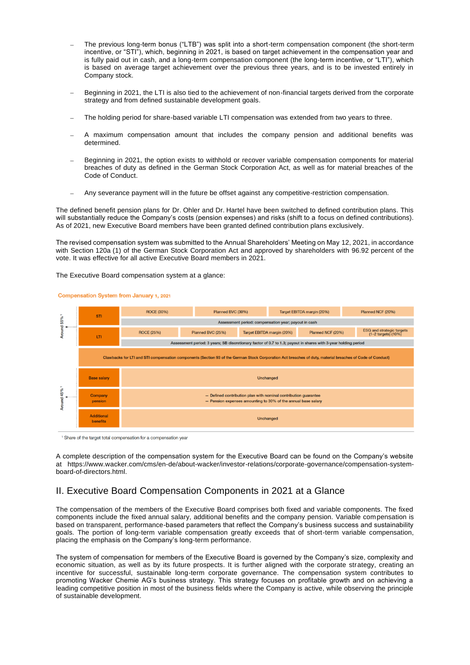- − The previous long-term bonus ("LTB") was split into a short-term compensation component (the short-term incentive, or "STI"), which, beginning in 2021, is based on target achievement in the compensation year and is fully paid out in cash, and a long-term compensation component (the long-term incentive, or "LTI"), which is based on average target achievement over the previous three years, and is to be invested entirely in Company stock.
- Beginning in 2021, the LTI is also tied to the achievement of non-financial targets derived from the corporate strategy and from defined sustainable development goals.
- The holding period for share-based variable LTI compensation was extended from two years to three.
- A maximum compensation amount that includes the company pension and additional benefits was determined.
- Beginning in 2021, the option exists to withhold or recover variable compensation components for material breaches of duty as defined in the German Stock Corporation Act, as well as for material breaches of the Code of Conduct.
- Any severance payment will in the future be offset against any competitive-restriction compensation.

The defined benefit pension plans for Dr. Ohler and Dr. Hartel have been switched to defined contribution plans. This will substantially reduce the Company's costs (pension expenses) and risks (shift to a focus on defined contributions). As of 2021, new Executive Board members have been granted defined contribution plans exclusively.

The revised compensation system was submitted to the Annual Shareholders' Meeting on May 12, 2021, in accordance with Section 120a (1) of the German Stock Corporation Act and approved by shareholders with 96.92 percent of the vote. It was effective for all active Executive Board members in 2021.

The Executive Board compensation system at a glance:



Compensation System from January 1, 2021

<sup>1</sup> Share of the target total compensation for a compensation year

A complete description of the compensation system for the Executive Board can be found on the Company's website at https://www.wacker.com/cms/en-de/about-wacker/investor-relations/corporate-governance/compensation-systemboard-of-directors.html.

# II. Executive Board Compensation Components in 2021 at a Glance

The compensation of the members of the Executive Board comprises both fixed and variable components. The fixed components include the fixed annual salary, additional benefits and the company pension. Variable compensation is based on transparent, performance-based parameters that reflect the Company's business success and sustainability goals. The portion of long-term variable compensation greatly exceeds that of short-term variable compensation, placing the emphasis on the Company's long-term performance.

The system of compensation for members of the Executive Board is governed by the Company's size, complexity and economic situation, as well as by its future prospects. It is further aligned with the corporate strategy, creating an incentive for successful, sustainable long-term corporate governance. The compensation system contributes to promoting Wacker Chemie AG's business strategy. This strategy focuses on profitable growth and on achieving a leading competitive position in most of the business fields where the Company is active, while observing the principle of sustainable development.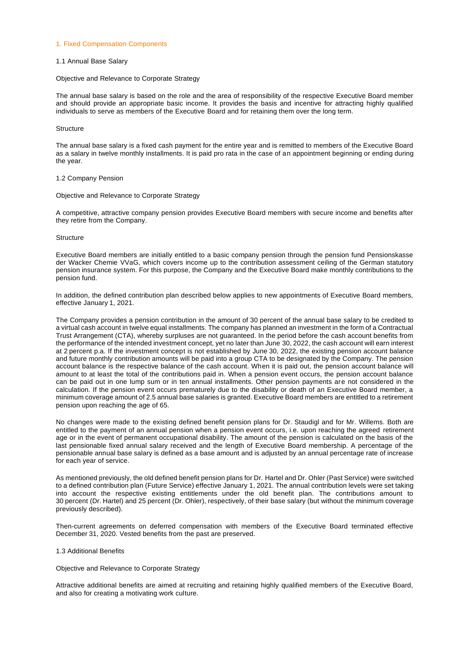#### 1. Fixed Compensation Components

#### 1.1 Annual Base Salary

#### Objective and Relevance to Corporate Strategy

The annual base salary is based on the role and the area of responsibility of the respective Executive Board member and should provide an appropriate basic income. It provides the basis and incentive for attracting highly qualified individuals to serve as members of the Executive Board and for retaining them over the long term.

#### **Structure**

The annual base salary is a fixed cash payment for the entire year and is remitted to members of the Executive Board as a salary in twelve monthly installments. It is paid pro rata in the case of an appointment beginning or ending during the year.

#### 1.2 Company Pension

#### Objective and Relevance to Corporate Strategy

A competitive, attractive company pension provides Executive Board members with secure income and benefits after they retire from the Company.

#### **Structure**

Executive Board members are initially entitled to a basic company pension through the pension fund Pensionskasse der Wacker Chemie VVaG, which covers income up to the contribution assessment ceiling of the German statutory pension insurance system. For this purpose, the Company and the Executive Board make monthly contributions to the pension fund.

In addition, the defined contribution plan described below applies to new appointments of Executive Board members, effective January 1, 2021.

The Company provides a pension contribution in the amount of 30 percent of the annual base salary to be credited to a virtual cash account in twelve equal installments. The company has planned an investment in the form of a Contractual Trust Arrangement (CTA), whereby surpluses are not guaranteed. In the period before the cash account benefits from the performance of the intended investment concept, yet no later than June 30, 2022, the cash account will earn interest at 2 percent p.a. If the investment concept is not established by June 30, 2022, the existing pension account balance and future monthly contribution amounts will be paid into a group CTA to be designated by the Company. The pension account balance is the respective balance of the cash account. When it is paid out, the pension account balance will amount to at least the total of the contributions paid in. When a pension event occurs, the pension account balance can be paid out in one lump sum or in ten annual installments. Other pension payments are not considered in the calculation. If the pension event occurs prematurely due to the disability or death of an Executive Board member, a minimum coverage amount of 2.5 annual base salaries is granted. Executive Board members are entitled to a retirement pension upon reaching the age of 65.

No changes were made to the existing defined benefit pension plans for Dr. Staudigl and for Mr. Willems. Both are entitled to the payment of an annual pension when a pension event occurs, i.e. upon reaching the agreed retirement age or in the event of permanent occupational disability. The amount of the pension is calculated on the basis of the last pensionable fixed annual salary received and the length of Executive Board membership. A percentage of the pensionable annual base salary is defined as a base amount and is adjusted by an annual percentage rate of increase for each year of service.

As mentioned previously, the old defined benefit pension plans for Dr. Hartel and Dr. Ohler (Past Service) were switched to a defined contribution plan (Future Service) effective January 1, 2021. The annual contribution levels were set taking into account the respective existing entitlements under the old benefit plan. The contributions amount to 30 percent (Dr. Hartel) and 25 percent (Dr. Ohler), respectively, of their base salary (but without the minimum coverage previously described).

Then-current agreements on deferred compensation with members of the Executive Board terminated effective December 31, 2020. Vested benefits from the past are preserved.

#### 1.3 Additional Benefits

#### Objective and Relevance to Corporate Strategy

Attractive additional benefits are aimed at recruiting and retaining highly qualified members of the Executive Board, and also for creating a motivating work culture.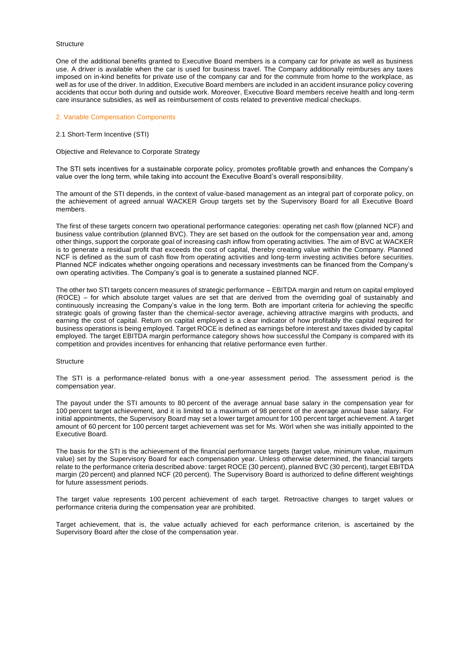#### **Structure**

One of the additional benefits granted to Executive Board members is a company car for private as well as business use. A driver is available when the car is used for business travel. The Company additionally reimburses any taxes imposed on in-kind benefits for private use of the company car and for the commute from home to the workplace, as well as for use of the driver. In addition, Executive Board members are included in an accident insurance policy covering accidents that occur both during and outside work. Moreover, Executive Board members receive health and long-term care insurance subsidies, as well as reimbursement of costs related to preventive medical checkups.

#### 2. Variable Compensation Components

#### 2.1 Short-Term Incentive (STI)

#### Objective and Relevance to Corporate Strategy

The STI sets incentives for a sustainable corporate policy, promotes profitable growth and enhances the Company's value over the long term, while taking into account the Executive Board's overall responsibility.

The amount of the STI depends, in the context of value-based management as an integral part of corporate policy, on the achievement of agreed annual WACKER Group targets set by the Supervisory Board for all Executive Board members.

The first of these targets concern two operational performance categories: operating net cash flow (planned NCF) and business value contribution (planned BVC). They are set based on the outlook for the compensation year and, among other things, support the corporate goal of increasing cash inflow from operating activities. The aim of BVC at WACKER is to generate a residual profit that exceeds the cost of capital, thereby creating value within the Company. Planned NCF is defined as the sum of cash flow from operating activities and long-term investing activities before securities. Planned NCF indicates whether ongoing operations and necessary investments can be financed from the Company's own operating activities. The Company's goal is to generate a sustained planned NCF.

The other two STI targets concern measures of strategic performance – EBITDA margin and return on capital employed (ROCE) – for which absolute target values are set that are derived from the overriding goal of sustainably and continuously increasing the Company's value in the long term. Both are important criteria for achieving the specific strategic goals of growing faster than the chemical-sector average, achieving attractive margins with products, and earning the cost of capital. Return on capital employed is a clear indicator of how profitably the capital required for business operations is being employed. Target ROCE is defined as earnings before interest and taxes divided by capital employed. The target EBITDA margin performance category shows how successful the Company is compared with its competition and provides incentives for enhancing that relative performance even further.

#### **Structure**

The STI is a performance-related bonus with a one-year assessment period. The assessment period is the compensation year.

The payout under the STI amounts to 80 percent of the average annual base salary in the compensation year for 100 percent target achievement, and it is limited to a maximum of 98 percent of the average annual base salary. For initial appointments, the Supervisory Board may set a lower target amount for 100 percent target achievement. A target amount of 60 percent for 100 percent target achievement was set for Ms. Wörl when she was initially appointed to the Executive Board.

The basis for the STI is the achievement of the financial performance targets (target value, minimum value, maximum value) set by the Supervisory Board for each compensation year. Unless otherwise determined, the financial targets relate to the performance criteria described above: target ROCE (30 percent), planned BVC (30 percent), target EBITDA margin (20 percent) and planned NCF (20 percent). The Supervisory Board is authorized to define different weightings for future assessment periods.

The target value represents 100 percent achievement of each target. Retroactive changes to target values or performance criteria during the compensation year are prohibited.

Target achievement, that is, the value actually achieved for each performance criterion, is ascertained by the Supervisory Board after the close of the compensation year.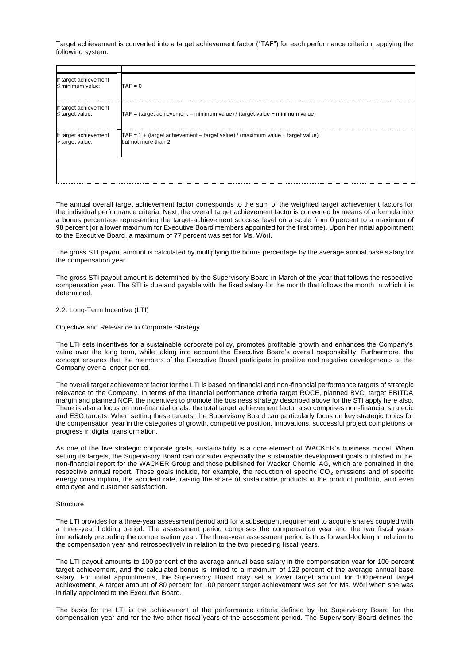Target achievement is converted into a target achievement factor ("TAF") for each performance criterion, applying the following system.

| If target achievement<br>$\leq$ minimum value: | $TAF = 0$                                                                                                     |
|------------------------------------------------|---------------------------------------------------------------------------------------------------------------|
| If target achievement<br>$\leq$ target value:  | $TAF =$ (target achievement – minimum value) / (target value – minimum value)                                 |
| lf target achievement<br>> target value:       | $\int TAF = 1 +$ (target achievement – target value) / (maximum value – target value);<br>but not more than 2 |
|                                                |                                                                                                               |

The annual overall target achievement factor corresponds to the sum of the weighted target achievement factors for the individual performance criteria. Next, the overall target achievement factor is converted by means of a formula into a bonus percentage representing the target-achievement success level on a scale from 0 percent to a maximum of 98 percent (or a lower maximum for Executive Board members appointed for the first time). Upon her initial appointment to the Executive Board, a maximum of 77 percent was set for Ms. Wörl.

The gross STI payout amount is calculated by multiplying the bonus percentage by the average annual base salary for the compensation year.

The gross STI payout amount is determined by the Supervisory Board in March of the year that follows the respective compensation year. The STI is due and payable with the fixed salary for the month that follows the month in which it is determined.

#### 2.2. Long-Term Incentive (LTI)

Objective and Relevance to Corporate Strategy

The LTI sets incentives for a sustainable corporate policy, promotes profitable growth and enhances the Company's value over the long term, while taking into account the Executive Board's overall responsibility. Furthermore, the concept ensures that the members of the Executive Board participate in positive and negative developments at the Company over a longer period.

The overall target achievement factor for the LTI is based on financial and non-financial performance targets of strategic relevance to the Company. In terms of the financial performance criteria target ROCE, planned BVC, target EBITDA margin and planned NCF, the incentives to promote the business strategy described above for the STI apply here also. There is also a focus on non-financial goals: the total target achievement factor also comprises non-financial strategic and ESG targets. When setting these targets, the Supervisory Board can particularly focus on key strategic topics for the compensation year in the categories of growth, competitive position, innovations, successful project completions or progress in digital transformation.

As one of the five strategic corporate goals, sustainability is a core element of WACKER's business model. When setting its targets, the Supervisory Board can consider especially the sustainable development goals published in the non-financial report for the WACKER Group and those published for Wacker Chemie AG, which are contained in the respective annual report. These goals include, for example, the reduction of specific  $CO<sub>2</sub>$  emissions and of specific energy consumption, the accident rate, raising the share of sustainable products in the product portfolio, an d even employee and customer satisfaction.

#### **Structure**

The LTI provides for a three-year assessment period and for a subsequent requirement to acquire shares coupled with a three-year holding period. The assessment period comprises the compensation year and the two fiscal years immediately preceding the compensation year. The three-year assessment period is thus forward-looking in relation to the compensation year and retrospectively in relation to the two preceding fiscal years.

The LTI payout amounts to 100 percent of the average annual base salary in the compensation year for 100 percent target achievement, and the calculated bonus is limited to a maximum of 122 percent of the average annual base salary. For initial appointments, the Supervisory Board may set a lower target amount for 100 percent target achievement. A target amount of 80 percent for 100 percent target achievement was set for Ms. Wörl when she was initially appointed to the Executive Board.

The basis for the LTI is the achievement of the performance criteria defined by the Supervisory Board for the compensation year and for the two other fiscal years of the assessment period. The Supervisory Board defines the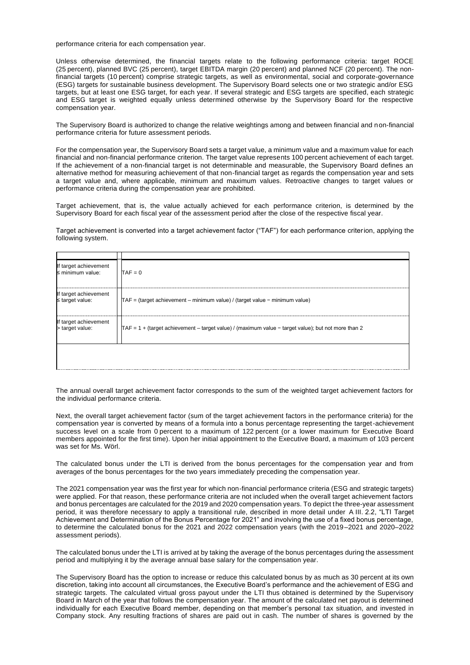performance criteria for each compensation year.

Unless otherwise determined, the financial targets relate to the following performance criteria: target ROCE (25 percent), planned BVC (25 percent), target EBITDA margin (20 percent) and planned NCF (20 percent). The nonfinancial targets (10 percent) comprise strategic targets, as well as environmental, social and corporate-governance (ESG) targets for sustainable business development. The Supervisory Board selects one or two strategic and/or ESG targets, but at least one ESG target, for each year. If several strategic and ESG targets are specified, each strategic and ESG target is weighted equally unless determined otherwise by the Supervisory Board for the respective compensation year.

The Supervisory Board is authorized to change the relative weightings among and between financial and non-financial performance criteria for future assessment periods.

For the compensation year, the Supervisory Board sets a target value, a minimum value and a maximum value for each financial and non-financial performance criterion. The target value represents 100 percent achievement of each target. If the achievement of a non-financial target is not determinable and measurable, the Supervisory Board defines an alternative method for measuring achievement of that non-financial target as regards the compensation year and sets a target value and, where applicable, minimum and maximum values. Retroactive changes to target values or performance criteria during the compensation year are prohibited.

Target achievement, that is, the value actually achieved for each performance criterion, is determined by the Supervisory Board for each fiscal year of the assessment period after the close of the respective fiscal year.

Target achievement is converted into a target achievement factor ("TAF") for each performance criterion, applying the following system.

| lf target achievement<br>≤ minimum value: | $TAF = 0$                                                                                                                         |
|-------------------------------------------|-----------------------------------------------------------------------------------------------------------------------------------|
| lf target achievement<br>≤ target value:  | TAF = (target achievement - minimum value) / (target value - minimum value)                                                       |
| lf target achievement<br>> target value:  | $\textsf{TAF} = 1 + \textsf{(target achievement - target value)} / \textsf{(maximum value - target value)}$ ; but not more than 2 |
|                                           |                                                                                                                                   |

The annual overall target achievement factor corresponds to the sum of the weighted target achievement factors for the individual performance criteria.

Next, the overall target achievement factor (sum of the target achievement factors in the performance criteria) for the compensation year is converted by means of a formula into a bonus percentage representing the target-achievement success level on a scale from 0 percent to a maximum of 122 percent (or a lower maximum for Executive Board members appointed for the first time). Upon her initial appointment to the Executive Board, a maximum of 103 percent was set for Ms. Wörl.

The calculated bonus under the LTI is derived from the bonus percentages for the compensation year and from averages of the bonus percentages for the two years immediately preceding the compensation year.

The 2021 compensation year was the first year for which non-financial performance criteria (ESG and strategic targets) were applied. For that reason, these performance criteria are not included when the overall target achievement factors and bonus percentages are calculated for the 2019 and 2020 compensation years. To depict the three-year assessment period, it was therefore necessary to apply a transitional rule, described in more detail under A III. 2.2, "LTI Target Achievement and Determination of the Bonus Percentage for 2021" and involving the use of a fixed bonus percentage, to determine the calculated bonus for the 2021 and 2022 compensation years (with the 2019–2021 and 2020–2022 assessment periods).

The calculated bonus under the LTI is arrived at by taking the average of the bonus percentages during the assessment period and multiplying it by the average annual base salary for the compensation year.

The Supervisory Board has the option to increase or reduce this calculated bonus by as much as 30 percent at its own discretion, taking into account all circumstances, the Executive Board's performance and the achievement of ESG and strategic targets. The calculated virtual gross payout under the LTI thus obtained is determined by the Supervisory Board in March of the year that follows the compensation year. The amount of the calculated net payout is determined individually for each Executive Board member, depending on that member's personal tax situation, and invested in Company stock. Any resulting fractions of shares are paid out in cash. The number of shares is governed by the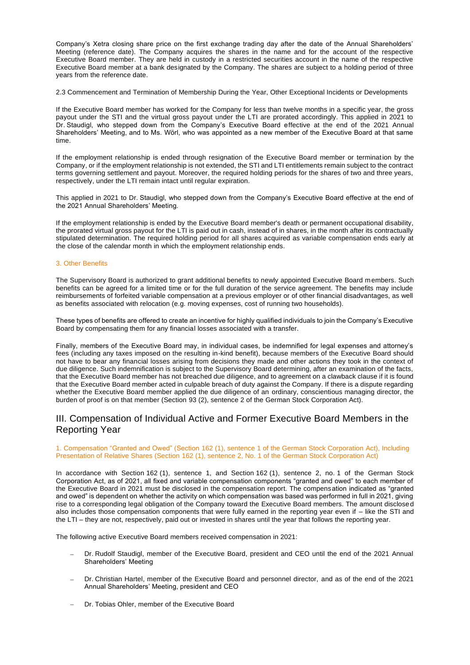Company's Xetra closing share price on the first exchange trading day after the date of the Annual Shareholders' Meeting (reference date). The Company acquires the shares in the name and for the account of the respective Executive Board member. They are held in custody in a restricted securities account in the name of the respective Executive Board member at a bank designated by the Company. The shares are subject to a holding period of three years from the reference date.

2.3 Commencement and Termination of Membership During the Year, Other Exceptional Incidents or Developments

If the Executive Board member has worked for the Company for less than twelve months in a specific year, the gross payout under the STI and the virtual gross payout under the LTI are prorated accordingly. This applied in 2021 to Dr. Staudigl, who stepped down from the Company's Executive Board effective at the end of the 2021 Annual Shareholders' Meeting, and to Ms. Wörl, who was appointed as a new member of the Executive Board at that same time.

If the employment relationship is ended through resignation of the Executive Board member or termination by the Company, or if the employment relationship is not extended, the STI and LTI entitlements remain subject to the contract terms governing settlement and payout. Moreover, the required holding periods for the shares of two and three years, respectively, under the LTI remain intact until regular expiration.

This applied in 2021 to Dr. Staudigl, who stepped down from the Company's Executive Board effective at the end of the 2021 Annual Shareholders' Meeting.

If the employment relationship is ended by the Executive Board member's death or permanent occupational disability, the prorated virtual gross payout for the LTI is paid out in cash, instead of in shares, in the month after its contractually stipulated determination. The required holding period for all shares acquired as variable compensation ends early at the close of the calendar month in which the employment relationship ends.

#### 3. Other Benefits

The Supervisory Board is authorized to grant additional benefits to newly appointed Executive Board members. Such benefits can be agreed for a limited time or for the full duration of the service agreement. The benefits may include reimbursements of forfeited variable compensation at a previous employer or of other financial disadvantages, as well as benefits associated with relocation (e.g. moving expenses, cost of running two households).

These types of benefits are offered to create an incentive for highly qualified individuals to join the Company's Executive Board by compensating them for any financial losses associated with a transfer.

Finally, members of the Executive Board may, in individual cases, be indemnified for legal expenses and attorney's fees (including any taxes imposed on the resulting in-kind benefit), because members of the Executive Board should not have to bear any financial losses arising from decisions they made and other actions they took in the context of due diligence. Such indemnification is subject to the Supervisory Board determining, after an examination of the facts, that the Executive Board member has not breached due diligence, and to agreement on a clawback clause if it is found that the Executive Board member acted in culpable breach of duty against the Company. If there is a dispute regarding whether the Executive Board member applied the due diligence of an ordinary, conscientious managing director, the burden of proof is on that member (Section 93 (2), sentence 2 of the German Stock Corporation Act).

### III. Compensation of Individual Active and Former Executive Board Members in the Reporting Year

#### 1. Compensation "Granted and Owed" (Section 162 (1), sentence 1 of the German Stock Corporation Act), Including Presentation of Relative Shares (Section 162 (1), sentence 2, No. 1 of the German Stock Corporation Act)

In accordance with Section 162 (1), sentence 1, and Section 162 (1), sentence 2, no. 1 of the German Stock Corporation Act, as of 2021, all fixed and variable compensation components "granted and owed" to each member of the Executive Board in 2021 must be disclosed in the compensation report. The compensation indicated as "granted and owed" is dependent on whether the activity on which compensation was based was performed in full in 2021, giving rise to a corresponding legal obligation of the Company toward the Executive Board members. The amount disclosed also includes those compensation components that were fully earned in the reporting year even if – like the STI and the LTI – they are not, respectively, paid out or invested in shares until the year that follows the reporting year.

The following active Executive Board members received compensation in 2021:

- − Dr. Rudolf Staudigl, member of the Executive Board, president and CEO until the end of the 2021 Annual Shareholders' Meeting
- − Dr. Christian Hartel, member of the Executive Board and personnel director, and as of the end of the 2021 Annual Shareholders' Meeting, president and CEO
- Dr. Tobias Ohler, member of the Executive Board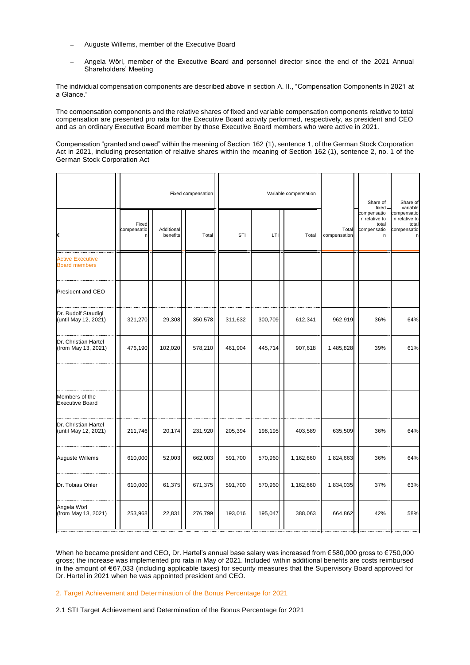- − Auguste Willems, member of the Executive Board
- − Angela Wörl, member of the Executive Board and personnel director since the end of the 2021 Annual Shareholders' Meeting

The individual compensation components are described above in section A. II., "Compensation Components in 2021 at a Glance."

The compensation components and the relative shares of fixed and variable compensation components relative to total compensation are presented pro rata for the Executive Board activity performed, respectively, as president and CEO and as an ordinary Executive Board member by those Executive Board members who were active in 2021.

Compensation "granted and owed" within the meaning of Section 162 (1), sentence 1, of the German Stock Corporation Act in 2021, including presentation of relative shares within the meaning of Section 162 (1), sentence 2, no. 1 of the German Stock Corporation Act

|                                                 |                           |                        | Fixed compensation | Variable compensation |         |           |                       | Share of<br>fixed                                         | Share of<br>variable                                                 |
|-------------------------------------------------|---------------------------|------------------------|--------------------|-----------------------|---------|-----------|-----------------------|-----------------------------------------------------------|----------------------------------------------------------------------|
| €                                               | Fixed<br>compensatio<br>n | Additional<br>benefits | Total              | STI                   | LTI     | Total     | Total<br>compensation | compensatio<br>n relative to<br>total<br>compensatio<br>n | compensatio<br>n relative to<br>total<br>compensatio<br>$\mathsf{n}$ |
| <b>Active Executive</b><br><b>Board members</b> |                           |                        |                    |                       |         |           |                       |                                                           |                                                                      |
| President and CEO                               |                           |                        |                    |                       |         |           |                       |                                                           |                                                                      |
| Dr. Rudolf Staudigl<br>(until May 12, 2021)     | 321,270                   | 29,308                 | 350,578            | 311,632               | 300,709 | 612,341   | 962,919               | 36%                                                       | 64%                                                                  |
| Dr. Christian Hartel<br>(from May 13, 2021)     | 476,190                   | 102,020                | 578,210            | 461,904               | 445,714 | 907,618   | 1,485,828             | 39%                                                       | 61%                                                                  |
| Members of the<br><b>Executive Board</b>        |                           |                        |                    |                       |         |           |                       |                                                           |                                                                      |
| Dr. Christian Hartel<br>(until May 12, 2021)    | 211,746                   | 20,174                 | 231,920            | 205,394               | 198,195 | 403,589   | 635,509               | 36%                                                       | 64%                                                                  |
| Auguste Willems                                 | 610,000                   | 52,003                 | 662,003            | 591,700               | 570,960 | 1,162,660 | 1,824,663             | 36%                                                       | 64%                                                                  |
| Dr. Tobias Ohler                                | 610,000                   | 61,375                 | 671,375            | 591,700               | 570,960 | 1,162,660 | 1,834,035             | 37%                                                       | 63%                                                                  |
| Angela Wörl<br>(from May 13, 2021)              | 253,968                   | 22,831                 | 276,799            | 193,016               | 195,047 | 388,063   | 664,862               | 42%                                                       | 58%                                                                  |
|                                                 |                           |                        |                    |                       |         |           |                       |                                                           |                                                                      |

When he became president and CEO, Dr. Hartel's annual base salary was increased from €580,000 gross to €750,000 gross; the increase was implemented pro rata in May of 2021. Included within additional benefits are costs reimbursed in the amount of €67,033 (including applicable taxes) for security measures that the Supervisory Board approved for Dr. Hartel in 2021 when he was appointed president and CEO.

#### 2. Target Achievement and Determination of the Bonus Percentage for 2021

2.1 STI Target Achievement and Determination of the Bonus Percentage for 2021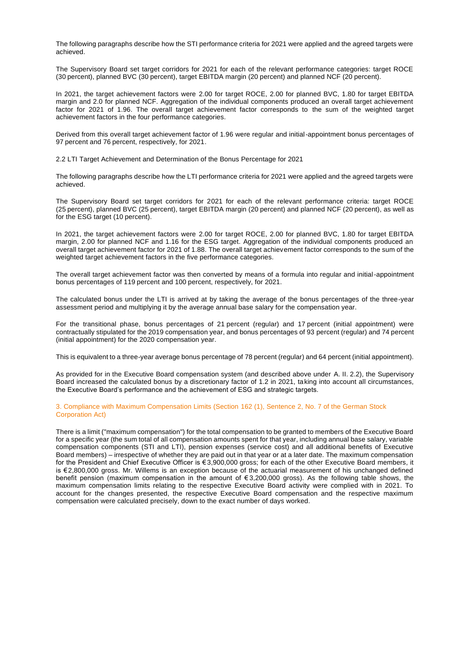The following paragraphs describe how the STI performance criteria for 2021 were applied and the agreed targets were achieved.

The Supervisory Board set target corridors for 2021 for each of the relevant performance categories: target ROCE (30 percent), planned BVC (30 percent), target EBITDA margin (20 percent) and planned NCF (20 percent).

In 2021, the target achievement factors were 2.00 for target ROCE, 2.00 for planned BVC, 1.80 for target EBITDA margin and 2.0 for planned NCF. Aggregation of the individual components produced an overall target achievement factor for 2021 of 1.96. The overall target achievement factor corresponds to the sum of the weighted target achievement factors in the four performance categories.

Derived from this overall target achievement factor of 1.96 were regular and initial-appointment bonus percentages of 97 percent and 76 percent, respectively, for 2021.

2.2 LTI Target Achievement and Determination of the Bonus Percentage for 2021

The following paragraphs describe how the LTI performance criteria for 2021 were applied and the agreed targets were achieved.

The Supervisory Board set target corridors for 2021 for each of the relevant performance criteria: target ROCE (25 percent), planned BVC (25 percent), target EBITDA margin (20 percent) and planned NCF (20 percent), as well as for the ESG target (10 percent).

In 2021, the target achievement factors were 2.00 for target ROCE, 2.00 for planned BVC, 1.80 for target EBITDA margin, 2.00 for planned NCF and 1.16 for the ESG target. Aggregation of the individual components produced an overall target achievement factor for 2021 of 1.88. The overall target achievement factor corresponds to the sum of the weighted target achievement factors in the five performance categories.

The overall target achievement factor was then converted by means of a formula into regular and initial-appointment bonus percentages of 119 percent and 100 percent, respectively, for 2021.

The calculated bonus under the LTI is arrived at by taking the average of the bonus percentages of the three-year assessment period and multiplying it by the average annual base salary for the compensation year.

For the transitional phase, bonus percentages of 21 percent (regular) and 17 percent (initial appointment) were contractually stipulated for the 2019 compensation year, and bonus percentages of 93 percent (regular) and 74 percent (initial appointment) for the 2020 compensation year.

This is equivalent to a three-year average bonus percentage of 78 percent (regular) and 64 percent (initial appointment).

As provided for in the Executive Board compensation system (and described above under A. II. 2.2), the Supervisory Board increased the calculated bonus by a discretionary factor of 1.2 in 2021, taking into account all circumstances, the Executive Board's performance and the achievement of ESG and strategic targets.

3. Compliance with Maximum Compensation Limits (Section 162 (1), Sentence 2, No. 7 of the German Stock Corporation Act)

There is a limit ("maximum compensation") for the total compensation to be granted to members of the Executive Board for a specific year (the sum total of all compensation amounts spent for that year, including annual base salary, variable compensation components (STI and LTI), pension expenses (service cost) and all additional benefits of Executive Board members) – irrespective of whether they are paid out in that year or at a later date. The maximum compensation for the President and Chief Executive Officer is € 3,900,000 gross; for each of the other Executive Board members, it is €2,800,000 gross. Mr. Willems is an exception because of the actuarial measurement of his unchanged defined benefit pension (maximum compensation in the amount of € 3,200,000 gross). As the following table shows, the maximum compensation limits relating to the respective Executive Board activity were complied with in 2021. To account for the changes presented, the respective Executive Board compensation and the respective maximum compensation were calculated precisely, down to the exact number of days worked.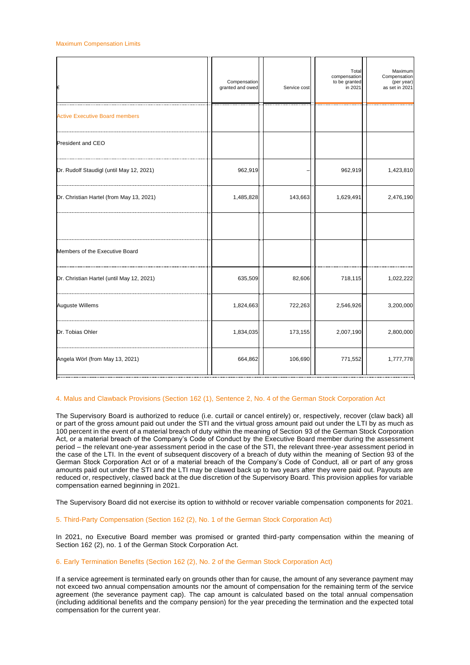| €                                          | Compensation<br>granted and owed | Service cost | Total<br>compensation<br>to be granted<br>in 2021 | Maximum<br>Compensation<br>(per year)<br>as set in 2021 |
|--------------------------------------------|----------------------------------|--------------|---------------------------------------------------|---------------------------------------------------------|
| .<br><b>Active Executive Board members</b> |                                  |              |                                                   |                                                         |
| President and CEO                          |                                  |              |                                                   |                                                         |
| Dr. Rudolf Staudigl (until May 12, 2021)   | 962,919                          |              | 962,919                                           | 1,423,810                                               |
| Dr. Christian Hartel (from May 13, 2021)   | 1,485,828                        | 143,663      | 1,629,491                                         | 2,476,190                                               |
|                                            |                                  |              |                                                   |                                                         |
| Members of the Executive Board             |                                  |              |                                                   |                                                         |
| Dr. Christian Hartel (until May 12, 2021)  | 635,509                          | 82,606       | 718,115                                           | 1,022,222                                               |
| Auguste Willems                            | 1,824,663                        | 722,263      | 2,546,926                                         | 3,200,000                                               |
| Dr. Tobias Ohler                           | 1,834,035                        | 173,155      | 2,007,190                                         | 2,800,000                                               |
| Angela Wörl (from May 13, 2021)            | 664,862                          | 106,690      | 771,552                                           | 1,777,778                                               |

#### 4. Malus and Clawback Provisions (Section 162 (1), Sentence 2, No. 4 of the German Stock Corporation Act

The Supervisory Board is authorized to reduce (i.e. curtail or cancel entirely) or, respectively, recover (claw back) all or part of the gross amount paid out under the STI and the virtual gross amount paid out under the LTI by as much as 100 percent in the event of a material breach of duty within the meaning of Section 93 of the German Stock Corporation Act, or a material breach of the Company's Code of Conduct by the Executive Board member during the assessment period – the relevant one-year assessment period in the case of the STI, the relevant three-year assessment period in the case of the LTI. In the event of subsequent discovery of a breach of duty within the meaning of Section 93 of the German Stock Corporation Act or of a material breach of the Company's Code of Conduct, all or part of any gross amounts paid out under the STI and the LTI may be clawed back up to two years after they were paid out. Payouts are reduced or, respectively, clawed back at the due discretion of the Supervisory Board. This provision applies for variable compensation earned beginning in 2021.

The Supervisory Board did not exercise its option to withhold or recover variable compensation components for 2021.

#### 5. Third-Party Compensation (Section 162 (2), No. 1 of the German Stock Corporation Act)

In 2021, no Executive Board member was promised or granted third-party compensation within the meaning of Section 162 (2), no. 1 of the German Stock Corporation Act.

#### 6. Early Termination Benefits (Section 162 (2), No. 2 of the German Stock Corporation Act)

If a service agreement is terminated early on grounds other than for cause, the amount of any severance payment may not exceed two annual compensation amounts nor the amount of compensation for the remaining term of the service agreement (the severance payment cap). The cap amount is calculated based on the total annual compensation (including additional benefits and the company pension) for the year preceding the termination and the expected total compensation for the current year.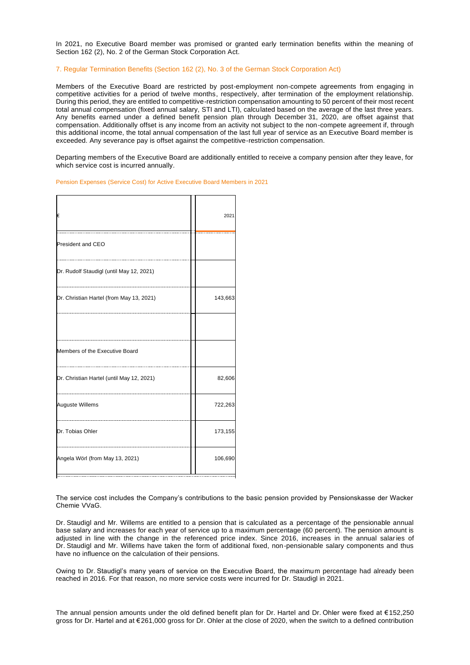In 2021, no Executive Board member was promised or granted early termination benefits within the meaning of Section 162 (2), No. 2 of the German Stock Corporation Act.

#### 7. Regular Termination Benefits (Section 162 (2), No. 3 of the German Stock Corporation Act)

Members of the Executive Board are restricted by post-employment non-compete agreements from engaging in competitive activities for a period of twelve months, respectively, after termination of the employment relationship. During this period, they are entitled to competitive-restriction compensation amounting to 50 percent of their most recent total annual compensation (fixed annual salary, STI and LTI), calculated based on the average of the last three years. Any benefits earned under a defined benefit pension plan through December 31, 2020, are offset against that compensation. Additionally offset is any income from an activity not subject to the non-compete agreement if, through this additional income, the total annual compensation of the last full year of service as an Executive Board member is exceeded. Any severance pay is offset against the competitive-restriction compensation.

Departing members of the Executive Board are additionally entitled to receive a company pension after they leave, for which service cost is incurred annually.

Pension Expenses (Service Cost) for Active Executive Board Members in 2021

| €                                         | 2021    |
|-------------------------------------------|---------|
| President and CEO                         |         |
| Dr. Rudolf Staudigl (until May 12, 2021)  |         |
| Dr. Christian Hartel (from May 13, 2021)  | 143,663 |
|                                           |         |
| Members of the Executive Board            |         |
| Dr. Christian Hartel (until May 12, 2021) | 82,606  |
| <b>Auguste Willems</b>                    | 722,263 |
| Dr. Tobias Ohler                          | 173,155 |
| Angela Wörl (from May 13, 2021)           | 106,690 |
|                                           |         |

The service cost includes the Company's contributions to the basic pension provided by Pensionskasse der Wacker Chemie VVaG.

Dr. Staudigl and Mr. Willems are entitled to a pension that is calculated as a percentage of the pensionable annual base salary and increases for each year of service up to a maximum percentage (60 percent). The pension amount is adjusted in line with the change in the referenced price index. Since 2016, increases in the annual salaries of Dr. Staudigl and Mr. Willems have taken the form of additional fixed, non-pensionable salary components and thus have no influence on the calculation of their pensions.

Owing to Dr. Staudigl's many years of service on the Executive Board, the maximum percentage had already been reached in 2016. For that reason, no more service costs were incurred for Dr. Staudigl in 2021.

The annual pension amounts under the old defined benefit plan for Dr. Hartel and Dr. Ohler were fixed at €152,250 gross for Dr. Hartel and at €261,000 gross for Dr. Ohler at the close of 2020, when the switch to a defined contribution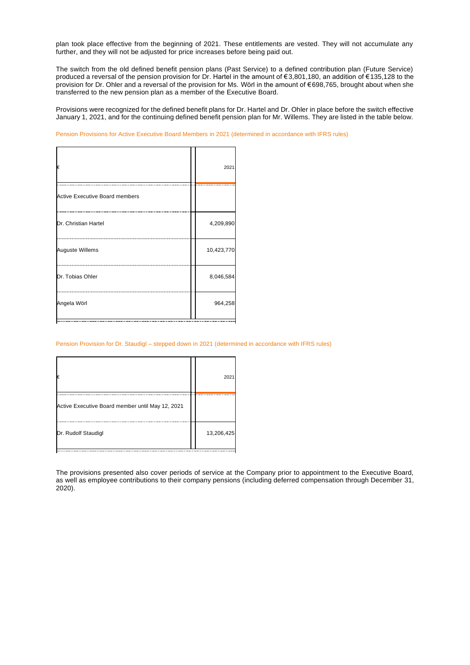plan took place effective from the beginning of 2021. These entitlements are vested. They will not accumulate any further, and they will not be adjusted for price increases before being paid out.

The switch from the old defined benefit pension plans (Past Service) to a defined contribution plan (Future Service) produced a reversal of the pension provision for Dr. Hartel in the amount of €3,801,180, an addition of €135,128 to the provision for Dr. Ohler and a reversal of the provision for Ms. Wörl in the amount of €698,765, brought about when she transferred to the new pension plan as a member of the Executive Board.

Provisions were recognized for the defined benefit plans for Dr. Hartel and Dr. Ohler in place before the switch effective January 1, 2021, and for the continuing defined benefit pension plan for Mr. Willems. They are listed in the table below.

Pension Provisions for Active Executive Board Members in 2021 (determined in accordance with IFRS rules)

| €                                     | 2021       |
|---------------------------------------|------------|
| <b>Active Executive Board members</b> |            |
| Dr. Christian Hartel                  | 4,209,890  |
| <b>Auguste Willems</b>                | 10,423,770 |
| Dr. Tobias Ohler                      | 8,046,584  |
| Angela Wörl                           | 964,258    |

Pension Provision for Dr. Staudigl – stepped down in 2021 (determined in accordance with IFRS rules)

| 13,206,425 | €                                                | 202' |
|------------|--------------------------------------------------|------|
|            | Active Executive Board member until May 12, 2021 |      |
|            | Dr. Rudolf Staudigl                              |      |

The provisions presented also cover periods of service at the Company prior to appointment to the Executive Board, as well as employee contributions to their company pensions (including deferred compensation through December 31, 2020).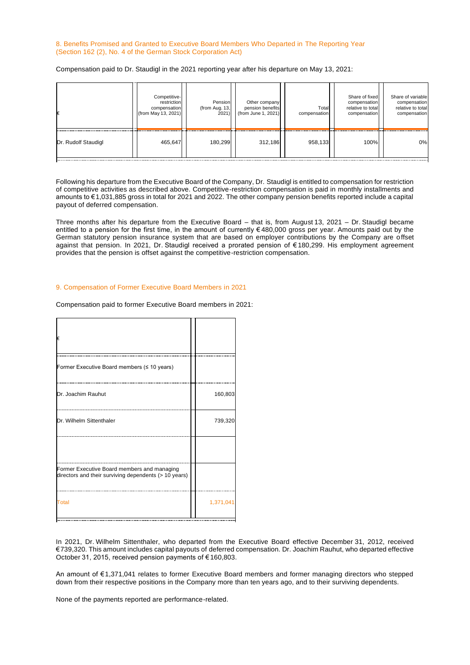#### 8. Benefits Promised and Granted to Executive Board Members Who Departed in The Reporting Year (Section 162 (2), No. 4 of the German Stock Corporation Act)

Compensation paid to Dr. Staudigl in the 2021 reporting year after his departure on May 13, 2021:

|                     | Competitive-<br>restriction<br>compensation<br>(from May 13, 2021) | Pension<br>(from Aug. $13,$<br>2021) | Other company<br>pension benefits<br>(from June 1, 2021) | Total<br>compensation | Share of fixed<br>compensation<br>relative to total<br>compensation | Share of variable<br>compensation<br>relative to total<br>compensation |
|---------------------|--------------------------------------------------------------------|--------------------------------------|----------------------------------------------------------|-----------------------|---------------------------------------------------------------------|------------------------------------------------------------------------|
| Dr. Rudolf Staudigl | 465,647                                                            | 180,299                              | 312.186                                                  | 958,133               | 100%                                                                | 0%                                                                     |

Following his departure from the Executive Board of the Company, Dr. Staudigl is entitled to compensation for restriction of competitive activities as described above. Competitive-restriction compensation is paid in monthly installments and amounts to €1,031,885 gross in total for 2021 and 2022. The other company pension benefits reported include a capital payout of deferred compensation.

Three months after his departure from the Executive Board – that is, from August 13, 2021 – Dr. Staudigl became entitled to a pension for the first time, in the amount of currently € 480,000 gross per year. Amounts paid out by the German statutory pension insurance system that are based on employer contributions by the Company are o ffset against that pension. In 2021, Dr. Staudigl received a prorated pension of € 180,299. His employment agreement provides that the pension is offset against the competitive-restriction compensation.

#### 9. Compensation of Former Executive Board Members in 2021

Compensation paid to former Executive Board members in 2021:

| €                                                                                                    |           |
|------------------------------------------------------------------------------------------------------|-----------|
| Former Executive Board members (≤ 10 years)                                                          |           |
| Dr. Joachim Rauhut                                                                                   | 160,803   |
| Dr. Wilhelm Sittenthaler                                                                             | 739,320   |
| Former Executive Board members and managing<br>directors and their surviving dependents (> 10 years) |           |
| <b>Total</b>                                                                                         | 1,371,041 |

In 2021, Dr. Wilhelm Sittenthaler, who departed from the Executive Board effective December 31, 2012, received €739,320. This amount includes capital payouts of deferred compensation. Dr. Joachim Rauhut, who departed effective October 31, 2015, received pension payments of € 160,803.

An amount of €1,371,041 relates to former Executive Board members and former managing directors who stepped down from their respective positions in the Company more than ten years ago, and to their surviving dependents.

None of the payments reported are performance-related.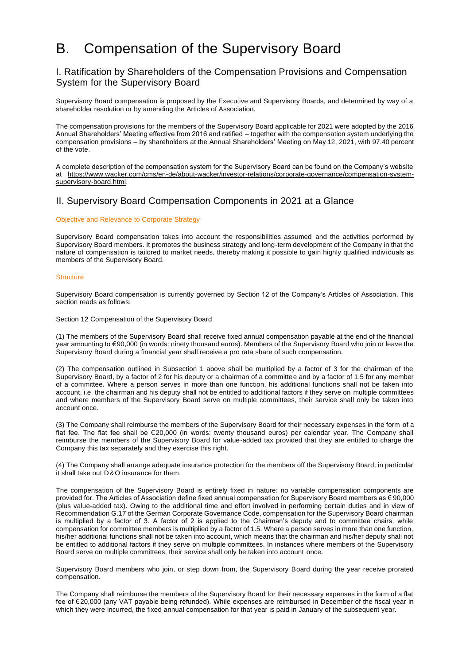# B. Compensation of the Supervisory Board

# I. Ratification by Shareholders of the Compensation Provisions and Compensation System for the Supervisory Board

Supervisory Board compensation is proposed by the Executive and Supervisory Boards, and determined by way of a shareholder resolution or by amending the Articles of Association.

The compensation provisions for the members of the Supervisory Board applicable for 2021 were adopted by the 2016 Annual Shareholders' Meeting effective from 2016 and ratified – together with the compensation system underlying the compensation provisions – by shareholders at the Annual Shareholders' Meeting on May 12, 2021, with 97.40 percent of the vote.

A complete description of the compensation system for the Supervisory Board can be found on the Company's website at https://www.wacker.com/cms/en-de/about-wacker/investor-relations/corporate-governance/compensation-systemsupervisory-board.html.

# II. Supervisory Board Compensation Components in 2021 at a Glance

#### Objective and Relevance to Corporate Strategy

Supervisory Board compensation takes into account the responsibilities assumed and the activities performed by Supervisory Board members. It promotes the business strategy and long-term development of the Company in that the nature of compensation is tailored to market needs, thereby making it possible to gain highly qualified indivi duals as members of the Supervisory Board.

#### **Structure**

Supervisory Board compensation is currently governed by Section 12 of the Company's Articles of Association. This section reads as follows:

#### Section 12 Compensation of the Supervisory Board

(1) The members of the Supervisory Board shall receive fixed annual compensation payable at the end of the financial year amounting to €90,000 (in words: ninety thousand euros). Members of the Supervisory Board who join or leave the Supervisory Board during a financial year shall receive a pro rata share of such compensation.

(2) The compensation outlined in Subsection 1 above shall be multiplied by a factor of 3 for the chairman of the Supervisory Board, by a factor of 2 for his deputy or a chairman of a committee and by a factor of 1.5 for any member of a committee. Where a person serves in more than one function, his additional functions shall not be taken into account, i.e. the chairman and his deputy shall not be entitled to additional factors if they serve on multiple committees and where members of the Supervisory Board serve on multiple committees, their service shall only be taken into account once.

(3) The Company shall reimburse the members of the Supervisory Board for their necessary expenses in the form of a flat fee. The flat fee shall be € 20,000 (in words: twenty thousand euros) per calendar year. The Company shall reimburse the members of the Supervisory Board for value-added tax provided that they are entitled to charge the Company this tax separately and they exercise this right.

(4) The Company shall arrange adequate insurance protection for the members off the Supervisory Board; in particular it shall take out D&O insurance for them.

The compensation of the Supervisory Board is entirely fixed in nature: no variable compensation components are provided for. The Articles of Association define fixed annual compensation for Supervisory Board members as € 90,000 (plus value-added tax). Owing to the additional time and effort involved in performing certain duties and in view of Recommendation G.17 of the German Corporate Governance Code, compensation for the Supervisory Board chairman is multiplied by a factor of 3. A factor of 2 is applied to the Chairman's deputy and to committee chairs, while compensation for committee members is multiplied by a factor of 1.5. Where a person serves in more than one function, his/her additional functions shall not be taken into account, which means that the chairman and his/her deputy shall not be entitled to additional factors if they serve on multiple committees. In instances where members of the Supervisory Board serve on multiple committees, their service shall only be taken into account once.

Supervisory Board members who join, or step down from, the Supervisory Board during the year receive prorated compensation.

The Company shall reimburse the members of the Supervisory Board for their necessary expenses in the form of a flat fee of €20,000 (any VAT payable being refunded). While expenses are reimbursed in December of the fiscal year in which they were incurred, the fixed annual compensation for that year is paid in January of the subsequent year.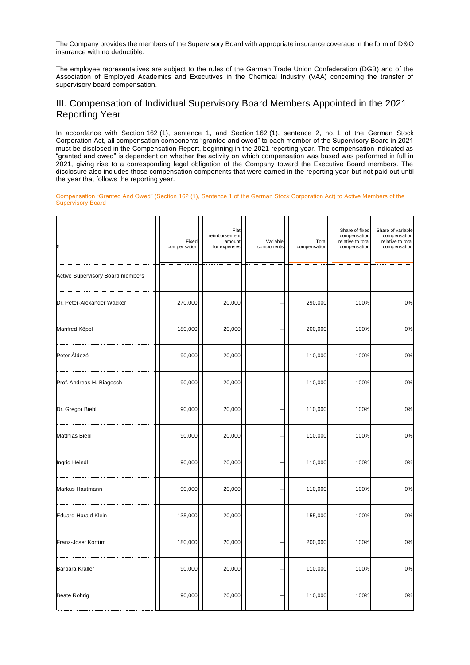The Company provides the members of the Supervisory Board with appropriate insurance coverage in the form of D&O insurance with no deductible.

The employee representatives are subject to the rules of the German Trade Union Confederation (DGB) and of the Association of Employed Academics and Executives in the Chemical Industry (VAA) concerning the transfer of supervisory board compensation.

# III. Compensation of Individual Supervisory Board Members Appointed in the 2021 Reporting Year

In accordance with Section 162 (1), sentence 1, and Section 162 (1), sentence 2, no. 1 of the German Stock Corporation Act, all compensation components "granted and owed" to each member of the Supervisory Board in 2021 must be disclosed in the Compensation Report, beginning in the 2021 reporting year. The compensation indicated as "granted and owed" is dependent on whether the activity on which compensation was based was performed in full in 2021, giving rise to a corresponding legal obligation of the Company toward the Executive Board members. The disclosure also includes those compensation components that were earned in the reporting year but not paid out until the year that follows the reporting year.

Compensation "Granted And Owed" (Section 162 (1), Sentence 1 of the German Stock Corporation Act) to Active Members of the Supervisory Board

| €                                       | Fixed<br>compensation | Flat<br>reimbursement<br>amount<br>for expenses | Variable<br>components | Total<br>compensation | Share of fixed<br>compensation<br>relative to total<br>compensation | Share of variable<br>compensation<br>relative to total<br>compensation |
|-----------------------------------------|-----------------------|-------------------------------------------------|------------------------|-----------------------|---------------------------------------------------------------------|------------------------------------------------------------------------|
| <b>Active Supervisory Board members</b> |                       |                                                 |                        |                       |                                                                     |                                                                        |
| Dr. Peter-Alexander Wacker              | 270,000               | 20,000                                          |                        | 290,000               | 100%                                                                | 0%                                                                     |
| Manfred Köppl                           | 180,000               | 20,000                                          |                        | 200,000               | 100%                                                                | 0%                                                                     |
| Peter Áldozó                            | 90,000                | 20,000                                          |                        | 110,000               | 100%                                                                | 0%                                                                     |
| Prof. Andreas H. Biagosch               | 90,000                | 20,000                                          |                        | 110,000               | 100%                                                                | 0%                                                                     |
| Dr. Gregor Biebl                        | 90,000                | 20,000                                          |                        | 110,000               | 100%                                                                | 0%                                                                     |
| <b>Matthias Biebl</b>                   | 90,000                | 20,000                                          |                        | 110,000               | 100%                                                                | 0%                                                                     |
| Ingrid Heindl                           | 90,000                | 20,000                                          |                        | 110,000               | 100%                                                                | 0%                                                                     |
| Markus Hautmann                         | 90,000                | 20,000                                          |                        | 110,000               | 100%                                                                | 0%                                                                     |
| Eduard-Harald Klein                     | 135,000               | 20,000                                          |                        | 155,000               | 100%                                                                | 0%                                                                     |
| Franz-Josef Kortüm                      | 180,000               | 20,000                                          |                        | 200,000               | 100%                                                                | 0%                                                                     |
| Barbara Kraller                         | 90,000                | 20,000                                          |                        | 110,000               | 100%                                                                | 0%                                                                     |
| <b>Beate Rohrig</b>                     | 90,000                | 20,000                                          |                        | 110,000               | 100%                                                                | $0\%$                                                                  |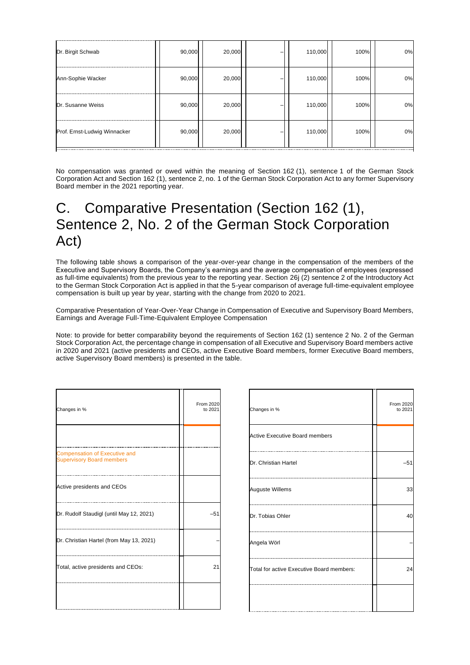| Dr. Birgit Schwab            | 90,000 | 20,000 | 110,000 | 100% | 0% |
|------------------------------|--------|--------|---------|------|----|
| Ann-Sophie Wacker            | 90,000 | 20,000 | 110,000 | 100% | 0% |
| Dr. Susanne Weiss            | 90,000 | 20,000 | 110,000 | 100% | 0% |
| Prof. Ernst-Ludwig Winnacker | 90,000 | 20,000 | 110,000 | 100% | 0% |

No compensation was granted or owed within the meaning of Section 162 (1), sentence 1 of the German Stock Corporation Act and Section 162 (1), sentence 2, no. 1 of the German Stock Corporation Act to any former Supervisory Board member in the 2021 reporting year.

# C. Comparative Presentation (Section 162 (1), Sentence 2, No. 2 of the German Stock Corporation Act)

The following table shows a comparison of the year-over-year change in the compensation of the members of the Executive and Supervisory Boards, the Company's earnings and the average compensation of employees (expressed as full-time equivalents) from the previous year to the reporting year. Section 26j (2) sentence 2 of the Introductory Act to the German Stock Corporation Act is applied in that the 5-year comparison of average full-time-equivalent employee compensation is built up year by year, starting with the change from 2020 to 2021.

Comparative Presentation of Year-Over-Year Change in Compensation of Executive and Supervisory Board Members, Earnings and Average Full-Time-Equivalent Employee Compensation

Note: to provide for better comparability beyond the requirements of Section 162 (1) sentence 2 No. 2 of the German Stock Corporation Act, the percentage change in compensation of all Executive and Supervisory Board members active in 2020 and 2021 (active presidents and CEOs, active Executive Board members, former Executive Board members, active Supervisory Board members) is presented in the table.

| Changes in %                                                             | From 2020<br>to 2021 |
|--------------------------------------------------------------------------|----------------------|
| <b>Compensation of Executive and</b><br><b>Supervisory Board members</b> |                      |
| Active presidents and CEOs                                               |                      |
| Dr. Rudolf Staudigl (until May 12, 2021)                                 | $-51$                |
| Dr. Christian Hartel (from May 13, 2021)                                 |                      |
| Total, active presidents and CEOs:                                       | 21                   |
|                                                                          |                      |

| Changes in %                              | From 2020<br>to 2021 |
|-------------------------------------------|----------------------|
| <b>Active Executive Board members</b>     |                      |
| Dr. Christian Hartel                      | $-51$                |
| Auguste Willems                           | 33                   |
| Dr. Tobias Ohler                          | 40                   |
| Angela Wörl                               |                      |
| Total for active Executive Board members: | 24                   |
|                                           |                      |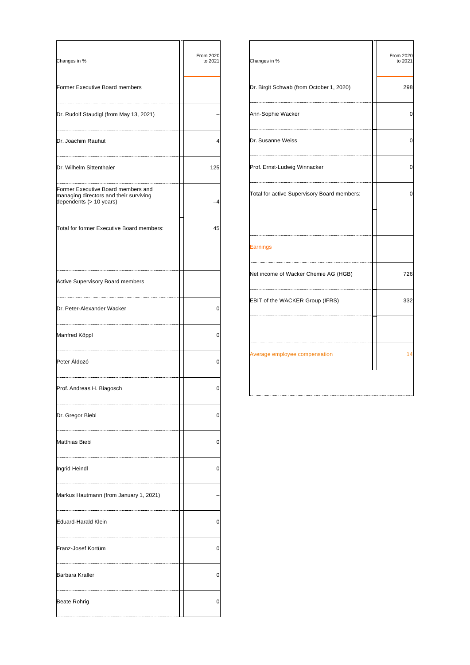| Changes in %                                                                                            | From 2020<br>to 2021 |
|---------------------------------------------------------------------------------------------------------|----------------------|
| Former Executive Board members                                                                          |                      |
| Dr. Rudolf Staudigl (from May 13, 2021)                                                                 |                      |
| Dr. Joachim Rauhut                                                                                      | 4                    |
| Dr. Wilhelm Sittenthaler                                                                                | 125                  |
| Former Executive Board members and<br>managing directors and their surviving<br>dependents (> 10 years) | -4                   |
| Total for former Executive Board members:                                                               | 45                   |
| Active Supervisory Board members                                                                        |                      |
| Dr. Peter-Alexander Wacker                                                                              | 0                    |
| Manfred Köppl                                                                                           | 0                    |
| Peter Áldozó                                                                                            | 0                    |
| Prof. Andreas H. Biagosch                                                                               | 0                    |
| Dr. Gregor Biebl                                                                                        | 0                    |
| <b>Matthias Biebl</b>                                                                                   | 0                    |
| Ingrid Heindl                                                                                           | 0                    |
| Markus Hautmann (from January 1, 2021)                                                                  |                      |
| Eduard-Harald Klein                                                                                     | 0                    |
| Franz-Josef Kortüm                                                                                      | 0                    |
| Barbara Kraller                                                                                         | 0                    |
| <b>Beate Rohrig</b>                                                                                     | 0                    |

| Changes in %                                | From 2020<br>to 2021 |
|---------------------------------------------|----------------------|
| Dr. Birgit Schwab (from October 1, 2020)    | 298                  |
| Ann-Sophie Wacker                           | 0                    |
| Dr. Susanne Weiss                           | 0                    |
| Prof. Ernst-Ludwig Winnacker                | 0                    |
| Total for active Supervisory Board members: | 0                    |
|                                             |                      |
| Earnings                                    |                      |
| Net income of Wacker Chemie AG (HGB)        | 726                  |
| EBIT of the WACKER Group (IFRS)             | 332                  |
|                                             |                      |
| Average employee compensation               | 14                   |
|                                             |                      |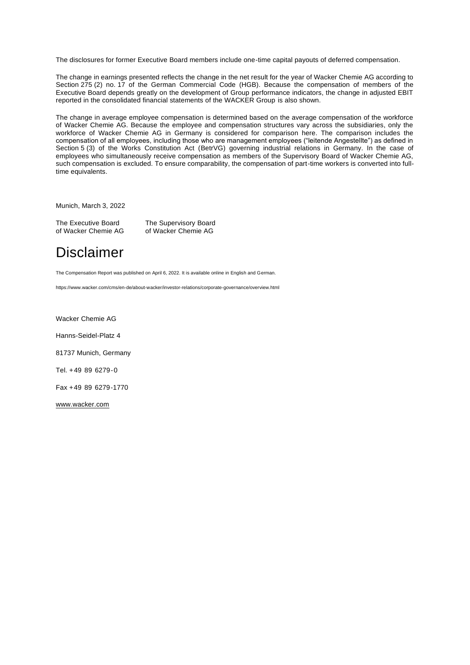The disclosures for former Executive Board members include one-time capital payouts of deferred compensation.

The change in earnings presented reflects the change in the net result for the year of Wacker Chemie AG according to Section 275 (2) no. 17 of the German Commercial Code (HGB). Because the compensation of members of the Executive Board depends greatly on the development of Group performance indicators, the change in adjusted EBIT reported in the consolidated financial statements of the WACKER Group is also shown.

The change in average employee compensation is determined based on the average compensation of the workforce of Wacker Chemie AG. Because the employee and compensation structures vary across the subsidiaries, only the workforce of Wacker Chemie AG in Germany is considered for comparison here. The comparison includes the compensation of all employees, including those who are management employees ("leitende Angestellte") as defined in Section 5 (3) of the Works Constitution Act (BetrVG) governing industrial relations in Germany. In the case of employees who simultaneously receive compensation as members of the Supervisory Board of Wacker Chemie AG, such compensation is excluded. To ensure comparability, the compensation of part-time workers is converted into fulltime equivalents.

Munich, March 3, 2022

The Executive Board The Supervisory Board<br>
of Wacker Chemie AG of Wacker Chemie AG of Wacker Chemie AG

# Disclaimer

The Compensation Report was published on April 6, 2022. It is available online in English and German.

https://www.wacker.com/cms/en-de/about-wacker/investor-relations/corporate-governance/overview.html

Wacker Chemie AG

Hanns-Seidel-Platz 4

81737 Munich, Germany

Tel. +49  89  6279-0

Fax +49  89  6279-1770

[www.wacker.com](http://www.wacker.com/)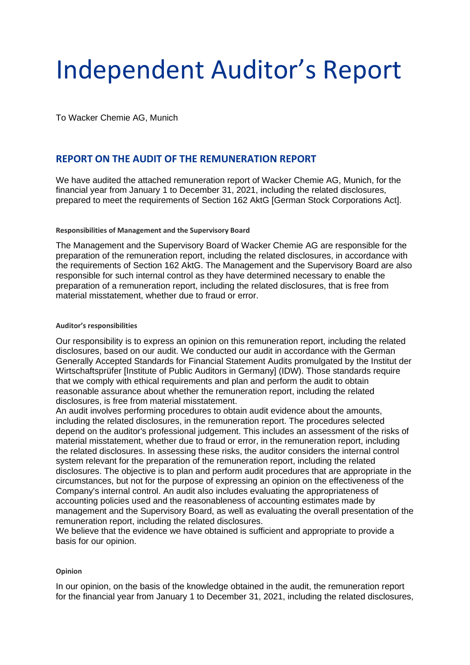# Independent Auditor's Report

To Wacker Chemie AG, Munich

# **REPORT ON THE AUDIT OF THE REMUNERATION REPORT**

We have audited the attached remuneration report of Wacker Chemie AG, Munich, for the financial year from January 1 to December 31, 2021, including the related disclosures, prepared to meet the requirements of Section 162 AktG [German Stock Corporations Act].

### **Responsibilities of Management and the Supervisory Board**

The Management and the Supervisory Board of Wacker Chemie AG are responsible for the preparation of the remuneration report, including the related disclosures, in accordance with the requirements of Section 162 AktG. The Management and the Supervisory Board are also responsible for such internal control as they have determined necessary to enable the preparation of a remuneration report, including the related disclosures, that is free from material misstatement, whether due to fraud or error.

### **Auditor's responsibilities**

Our responsibility is to express an opinion on this remuneration report, including the related disclosures, based on our audit. We conducted our audit in accordance with the German Generally Accepted Standards for Financial Statement Audits promulgated by the Institut der Wirtschaftsprüfer [Institute of Public Auditors in Germany] (IDW). Those standards require that we comply with ethical requirements and plan and perform the audit to obtain reasonable assurance about whether the remuneration report, including the related disclosures, is free from material misstatement.

An audit involves performing procedures to obtain audit evidence about the amounts, including the related disclosures, in the remuneration report. The procedures selected depend on the auditor's professional judgement. This includes an assessment of the risks of material misstatement, whether due to fraud or error, in the remuneration report, including the related disclosures. In assessing these risks, the auditor considers the internal control system relevant for the preparation of the remuneration report, including the related disclosures. The objective is to plan and perform audit procedures that are appropriate in the circumstances, but not for the purpose of expressing an opinion on the effectiveness of the Company's internal control. An audit also includes evaluating the appropriateness of accounting policies used and the reasonableness of accounting estimates made by management and the Supervisory Board, as well as evaluating the overall presentation of the remuneration report, including the related disclosures.

We believe that the evidence we have obtained is sufficient and appropriate to provide a basis for our opinion.

### **Opinion**

In our opinion, on the basis of the knowledge obtained in the audit, the remuneration report for the financial year from January 1 to December 31, 2021, including the related disclosures,